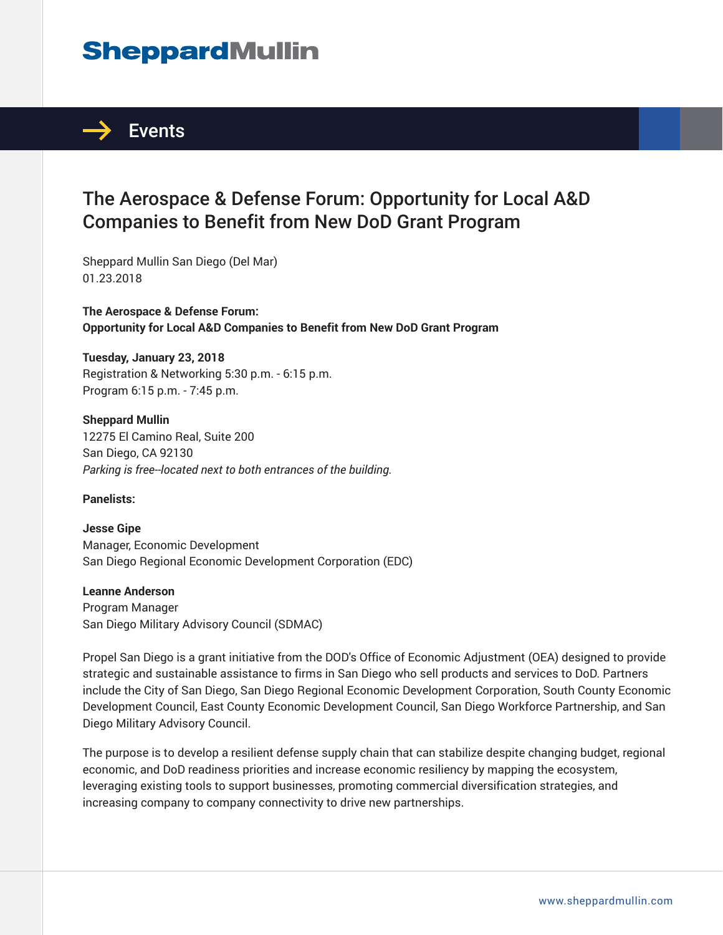## **SheppardMullin**



## The Aerospace & Defense Forum: Opportunity for Local A&D Companies to Benefit from New DoD Grant Program

Sheppard Mullin San Diego (Del Mar) 01.23.2018

**The Aerospace & Defense Forum: Opportunity for Local A&D Companies to Benefit from New DoD Grant Program**

**Tuesday, January 23, 2018** Registration & Networking 5:30 p.m. - 6:15 p.m. Program 6:15 p.m. - 7:45 p.m.

**Sheppard Mullin** 12275 El Camino Real, Suite 200 San Diego, CA 92130 *Parking is free--located next to both entrances of the building.*

**Panelists:**

**Jesse Gipe** Manager, Economic Development San Diego Regional Economic Development Corporation (EDC)

**Leanne Anderson**

Program Manager San Diego Military Advisory Council (SDMAC)

Propel San Diego is a grant initiative from the DOD's Office of Economic Adjustment (OEA) designed to provide strategic and sustainable assistance to firms in San Diego who sell products and services to DoD. Partners include the City of San Diego, San Diego Regional Economic Development Corporation, South County Economic Development Council, East County Economic Development Council, San Diego Workforce Partnership, and San Diego Military Advisory Council.

The purpose is to develop a resilient defense supply chain that can stabilize despite changing budget, regional economic, and DoD readiness priorities and increase economic resiliency by mapping the ecosystem, leveraging existing tools to support businesses, promoting commercial diversification strategies, and increasing company to company connectivity to drive new partnerships.